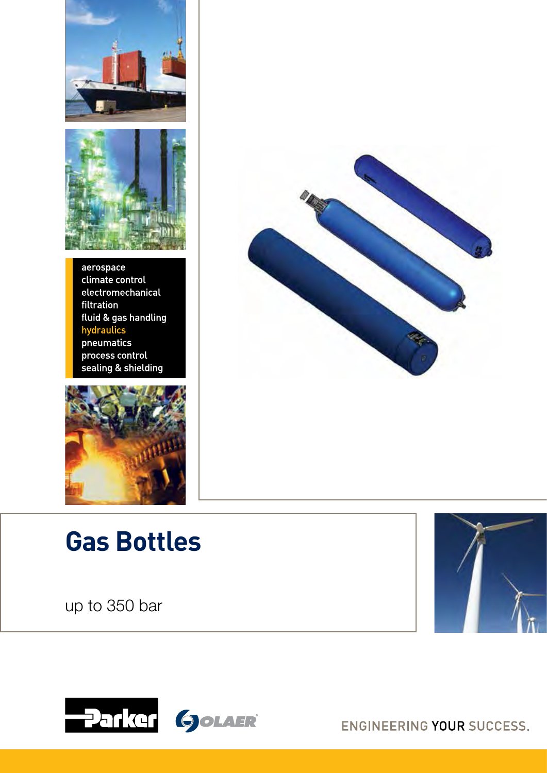



aerospace climate control electromechanical filtration fluid & gas handling hydraulics pneumatics process control sealing & shielding



# **Gas Bottles**

up to 350 bar







ENGINEERING YOUR SUCCESS.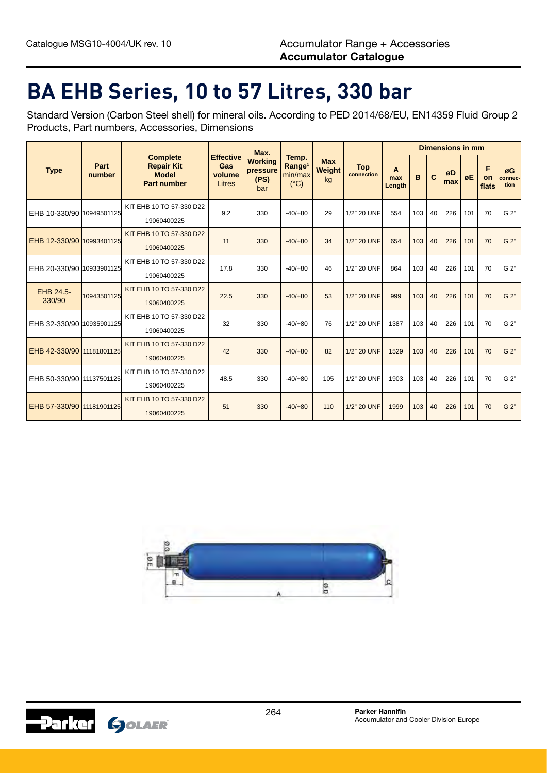#### **BA EHB Series, 10 to 57 Litres, 330 bar**

Standard Version (Carbon Steel shell) for mineral oils. According to PED 2014/68/EU, EN14359 Fluid Group 2 Products, Part numbers, Accessories, Dimensions

|                           |                |                                                                            |                                             | Max.                                      | Temp.<br>Range <sup>1</sup><br>min/max<br>$(^{\circ}C)$ | <b>Max</b><br>Weight<br>kg |                          | <b>Dimensions in mm</b> |     |    |           |     |                  |                       |  |
|---------------------------|----------------|----------------------------------------------------------------------------|---------------------------------------------|-------------------------------------------|---------------------------------------------------------|----------------------------|--------------------------|-------------------------|-----|----|-----------|-----|------------------|-----------------------|--|
| <b>Type</b>               | Part<br>number | <b>Complete</b><br><b>Repair Kit</b><br><b>Model</b><br><b>Part number</b> | <b>Effective</b><br>Gas<br>volume<br>Litres | <b>Working</b><br>pressure<br>(PS)<br>bar |                                                         |                            | <b>Top</b><br>connection | A<br>max<br>Length      | B   | C  | øD<br>max | øE  | F<br>on<br>flats | øG<br>connec-<br>tion |  |
| EHB 10-330/90 10949501125 |                | KIT EHB 10 TO 57-330 D22<br>19060400225                                    | 9.2                                         | 330                                       | $-40/+80$                                               | 29                         | 1/2" 20 UNF              | 554                     | 103 | 40 | 226       | 101 | 70               | G 2"                  |  |
| EHB 12-330/90 10993401125 |                | KIT EHB 10 TO 57-330 D22<br>19060400225                                    | 11                                          | 330                                       | $-40/+80$                                               | 34                         | 1/2" 20 UNF              | 654                     | 103 | 40 | 226       | 101 | 70               | G 2"                  |  |
| EHB 20-330/90 10933901125 |                | KIT EHB 10 TO 57-330 D22<br>19060400225                                    | 17.8                                        | 330                                       | $-40/+80$                                               | 46                         | 1/2" 20 UNF              | 864                     | 103 | 40 | 226       | 101 | 70               | G 2"                  |  |
| EHB 24.5-<br>330/90       | 10943501125    | KIT EHB 10 TO 57-330 D22<br>19060400225                                    | 22.5                                        | 330                                       | $-40/+80$                                               | 53                         | 1/2" 20 UNF              | 999                     | 103 | 40 | 226       | 101 | 70               | G 2"                  |  |
| EHB 32-330/90 10935901125 |                | KIT EHB 10 TO 57-330 D22<br>19060400225                                    | 32                                          | 330                                       | $-40/+80$                                               | 76                         | 1/2" 20 UNF              | 1387                    | 103 | 40 | 226       | 101 | 70               | G 2"                  |  |
| EHB 42-330/90 11181801125 |                | KIT EHB 10 TO 57-330 D22<br>19060400225                                    | 42                                          | 330                                       | $-40/+80$                                               | 82                         | 1/2" 20 UNF              | 1529                    | 103 | 40 | 226       | 101 | 70               | G 2"                  |  |
| EHB 50-330/90 11137501125 |                | KIT EHB 10 TO 57-330 D22<br>19060400225                                    | 48.5                                        | 330                                       | $-40/+80$                                               | 105                        | 1/2" 20 UNF              | 1903                    | 103 | 40 | 226       | 101 | 70               | G 2"                  |  |
| EHB 57-330/90 11181901125 |                | KIT EHB 10 TO 57-330 D22<br>19060400225                                    | 51                                          | 330                                       | $-40/+80$                                               | 110                        | 1/2" 20 UNF              | 1999                    | 103 | 40 | 226       | 101 | 70               | G 2"                  |  |



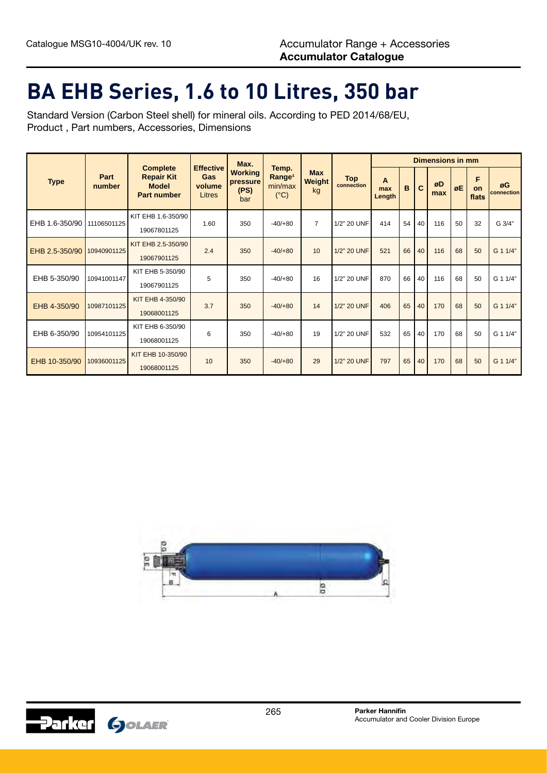#### **BA EHB Series, 1.6 to 10 Litres, 350 bar**

Standard Version (Carbon Steel shell) for mineral oils. According to PED 2014/68/EU, Product , Part numbers, Accessories, Dimensions

|                              |                |                                                                            |                                             | Max.                                      |                                                         |                            |                          | <b>Dimensions in mm</b> |              |    |           |    |                  |                  |  |
|------------------------------|----------------|----------------------------------------------------------------------------|---------------------------------------------|-------------------------------------------|---------------------------------------------------------|----------------------------|--------------------------|-------------------------|--------------|----|-----------|----|------------------|------------------|--|
| <b>Type</b>                  | Part<br>number | <b>Complete</b><br><b>Repair Kit</b><br><b>Model</b><br><b>Part number</b> | <b>Effective</b><br>Gas<br>volume<br>Litres | <b>Working</b><br>pressure<br>(PS)<br>bar | Temp.<br>Range <sup>1</sup><br>min/max<br>$(^{\circ}C)$ | <b>Max</b><br>Weight<br>kg | <b>Top</b><br>connection | A<br>max<br>Length      | $\mathbf{B}$ | C  | øD<br>max | øE | F<br>on<br>flats | øG<br>connection |  |
| EHB 1.6-350/90   11106501125 |                | KIT EHB 1.6-350/90<br>19067801125                                          | 1.60                                        | 350                                       | $-40/+80$                                               | $\overline{7}$             | 1/2" 20 UNF              | 414                     | 54           | 40 | 116       | 50 | 32               | G 3/4"           |  |
| EHB 2.5-350/90               | 10940901125    | KIT EHB 2.5-350/90<br>19067901125                                          | 2.4                                         | 350                                       | $-40/+80$                                               | 10                         | 1/2" 20 UNF              | 521                     | 66           | 40 | 116       | 68 | 50               | G 1 1/4"         |  |
| EHB 5-350/90                 | 10941001147    | KIT EHB 5-350/90<br>19067901125                                            | 5                                           | 350                                       | $-40/+80$                                               | 16                         | 1/2" 20 UNF              | 870                     | 66           | 40 | 116       | 68 | 50               | G 1 1/4"         |  |
| EHB 4-350/90                 | 10987101125    | KIT EHB 4-350/90<br>19068001125                                            | 3.7                                         | 350                                       | $-40/+80$                                               | 14                         | 1/2" 20 UNF              | 406                     | 65           | 40 | 170       | 68 | 50               | G 1 1/4"         |  |
| EHB 6-350/90                 | 10954101125    | KIT EHB 6-350/90<br>19068001125                                            | 6                                           | 350                                       | $-40/+80$                                               | 19                         | 1/2" 20 UNF              | 532                     | 65           | 40 | 170       | 68 | 50               | G 1 1/4"         |  |
| EHB 10-350/90                | 10936001125    | KIT EHB 10-350/90<br>19068001125                                           | 10                                          | 350                                       | $-40/+80$                                               | 29                         | 1/2" 20 UNF              | 797                     | 65           | 40 | 170       | 68 | 50               | G 1 1/4"         |  |



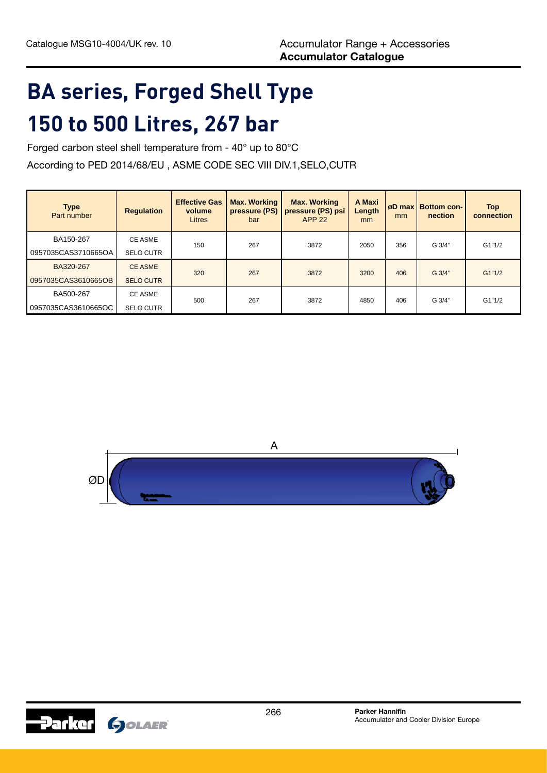## **BA series, Forged Shell Type 150 to 500 Litres, 267 bar**

Forged carbon steel shell temperature from - 40° up to 80°C

According to PED 2014/68/EU , ASME CODE SEC VIII DIV.1,SELO,CUTR

| <b>Type</b><br>Part number | <b>Regulation</b> | <b>Effective Gas</b><br>volume<br>Litres | <b>Max. Working</b><br>pressure (PS)<br>bar | <b>Max. Working</b><br>pressure (PS) psi<br><b>APP 22</b> | A Maxi<br>Length<br>mm | øD max l<br>mm | <b>Bottom con-</b><br>nection | <b>Top</b><br>connection |  |
|----------------------------|-------------------|------------------------------------------|---------------------------------------------|-----------------------------------------------------------|------------------------|----------------|-------------------------------|--------------------------|--|
| BA150-267                  | <b>CE ASME</b>    | 150                                      | 267                                         | 3872                                                      | 2050                   | 356            | G 3/4"                        | G1"1/2                   |  |
| 0957035CAS3710665OA        | <b>SELO CUTR</b>  |                                          |                                             |                                                           |                        |                |                               |                          |  |
| BA320-267                  | <b>CE ASME</b>    | 320                                      | 267                                         | 3872                                                      | 3200                   | 406            | G 3/4"                        | G1"1/2                   |  |
| 0957035CAS3610665OB        | <b>SELO CUTR</b>  |                                          |                                             |                                                           |                        |                |                               |                          |  |
| BA500-267                  | <b>CE ASME</b>    | 500                                      | 267                                         | 3872                                                      | 4850                   |                | G 3/4"                        | G1"1/2                   |  |
| 0957035CAS3610665OC        | <b>SELO CUTR</b>  |                                          |                                             |                                                           |                        | 406            |                               |                          |  |